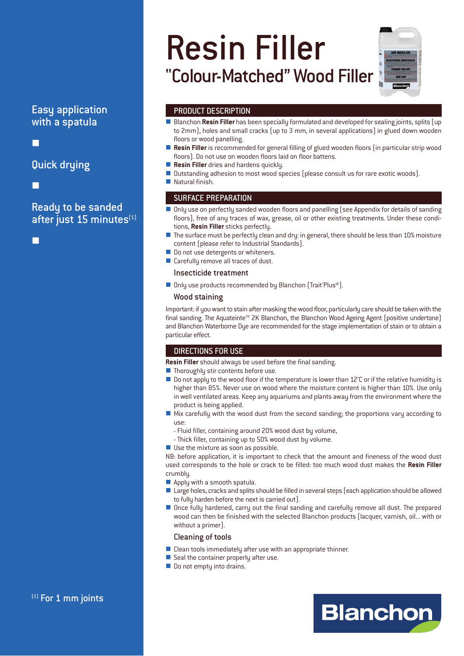# Easy application with a spatula

-

Quick drying

-

Ready to be sanded after just 15 minutes $<sup>(1)</sup>$ </sup>

-

# Resin Filler "Colour-Matched" Wood Filler

# PRODUCT DESCRIPTION

- Blanchon Resin Filler has been specially formulated and developed for sealing joints, splits (up to 2mm), holes and small cracks (up to 3 mm, in several applications) in glued down wooden floors or wood panelling.
- **Resin Filler** is recommended for general filling of glued wooden floors (in particular strip wood floors). Do not use on wooden floors laid on floor battens.
- **Resin Filler** dries and hardens quickly.
- **U** Outstanding adhesion to most wood species (please consult us for rare exotic woods).
- **Natural finish.**

# SURFACE PREPARATION

- - Only use on perfectly sanded wooden floors and panelling (see Appendix for details of sanding floors), free of any traces of wax, grease, oil or other existing treatments. Under these conditions, **Resin Filler** sticks perfectly.
- The surface must be perfectly clean and dry: in general, there should be less than 10% moisture content (please refer to Industrial Standards).
- **Do not use detergents or whiteners.**
- **Carefully remove all traces of dust.**

#### Insecticide treatment

■ Only use products recommended by Blanchon (Trait'Plus®).

#### Wood staining

Important: if you want to stain after masking the wood floor, particularly care should be taken with the final sanding. The Aquateinte<sup>™</sup> 2K Blanchon, the Blanchon Wood Ageing Agent (positive undertone) and Blanchon Waterborne Dye are recommended for the stage implementation of stain or to obtain a particular effect.

# DIRECTIONS FOR USE

**Resin Filler** should always be used before the final sanding.

- **Thoroughly stir contents before use.**
- Do not apply to the wood floor if the temperature is lower than 12°C or if the relative humidity is higher than 85%. Never use on wood where the moisture content is higher than 10%. Use only in well ventilated areas. Keep any aquariums and plants away from the environment where the product is being applied.
- Mix carefully with the wood dust from the second sanding; the proportions vary according to use:
	- Fluid filler, containing around 20% wood dust by volume,
	- Thick filler, containing up to 50% wood dust by volume.
- Use the mixture as soon as possible.

NB: before application, it is important to check that the amount and fineness of the wood dust used corresponds to the hole or crack to be filled: too much wood dust makes the **Resin Filler** crumbly.

- Apply with a smooth spatula.
- Large holes, cracks and splits should be filled in several steps (each application should be allowed to fully harden before the next is carried out).
- Once fully hardened, carry out the final sanding and carefully remove all dust. The prepared wood can then be finished with the selected Blanchon products (lacquer, varnish, oil... with or without a primer).

#### Cleaning of tools

- Clean tools immediately after use with an appropriate thinner.
- **Seal the container properly after use.**
- **Do not empty into drains.**